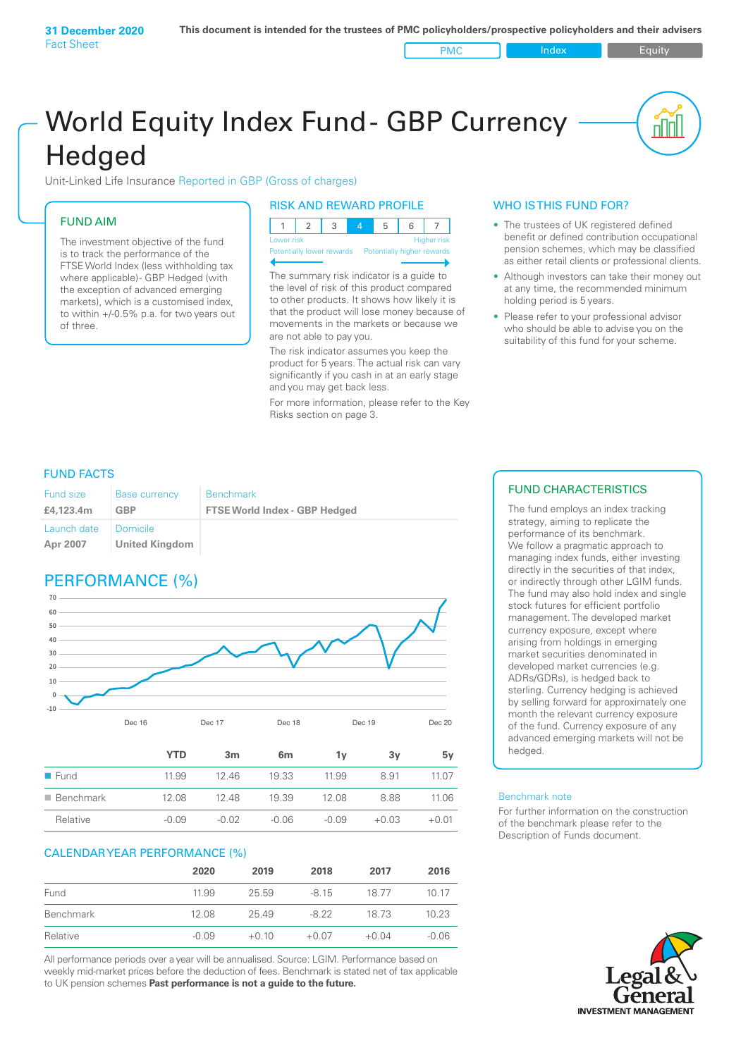PMC Index PMC Equity

nl Inl

# World Equity Index Fund- GBP Currency **Hedged**

Unit-Linked Life Insurance Reported in GBP (Gross of charges)

### FUND AIM

The investment objective of the fund is to track the performance of the FTSE World Index (less withholding tax where applicable) - GBP Hedged (with the exception of advanced emerging markets), which is a customised index, to within +/‑0.5% p.a. for two years out of three.

#### RISK AND REWARD PROFILE

| Lower risk |  |  | <b>Higher risk</b> |  |
|------------|--|--|--------------------|--|

ntially lower rewards

The summary risk indicator is a guide to the level of risk of this product compared to other products. It shows how likely it is that the product will lose money because of movements in the markets or because we are not able to pay you.

The risk indicator assumes you keep the product for 5 years. The actual risk can vary significantly if you cash in at an early stage and you may get back less.

For more information, please refer to the Key Risks section on page 3.

#### WHO IS THIS FUND FOR?

- The trustees of UK registered defined benefit or defined contribution occupational pension schemes, which may be classified as either retail clients or professional clients.
- Although investors can take their money out at any time, the recommended minimum holding period is 5 years.
- Please refer to your professional advisor who should be able to advise you on the suitability of this fund for your scheme.

#### FUND FACTS

| <b>Fund size</b>        | <b>Base currency</b>       | <b>Benchmark</b>                     |
|-------------------------|----------------------------|--------------------------------------|
| £4.123.4m               | <b>GBP</b>                 | <b>FTSE World Index - GBP Hedged</b> |
| Launch date<br>Apr 2007 | Domicile<br>United Kingdom |                                      |

## PERFORMANCE (%)



|                          | YTD     | 3m      | 6m      | ٦v      | 3v      | 5۷      |
|--------------------------|---------|---------|---------|---------|---------|---------|
| $\blacksquare$ Fund      | 11.99   | 1246    | 19.33   | 11.99   | 8.91    | 11.07   |
| $\blacksquare$ Benchmark | 12.08   | 1248    | 19.39   | 12.08   | 8.88    | 11.06   |
| Relative                 | $-0.09$ | $-0.02$ | $-0.06$ | $-0.09$ | $+0.03$ | $+0.01$ |

#### CALENDAR YEAR PERFORMANCE (%)

|           | 2020    | 2019    | 2018    | 2017    | 2016    |
|-----------|---------|---------|---------|---------|---------|
| Fund      | 11.99   | 25.59   | $-8.15$ | 1877    | 1017    |
| Benchmark | 12.08   | 25.49   | -8.22   | 18 73   | 10.23   |
| Relative  | $-0.09$ | $+0.10$ | $+0.07$ | $+0.04$ | $-0.06$ |

All performance periods over a year will be annualised. Source: LGIM. Performance based on weekly mid-market prices before the deduction of fees. Benchmark is stated net of tax applicable to UK pension schemes **Past performance is not a guide to the future.**

### FUND CHARACTERISTICS

The fund employs an index tracking strategy, aiming to replicate the performance of its benchmark. We follow a pragmatic approach to managing index funds, either investing directly in the securities of that index, or indirectly through other LGIM funds. The fund may also hold index and single stock futures for efficient portfolio management. The developed market currency exposure, except where arising from holdings in emerging market securities denominated in developed market currencies (e.g. ADRs/GDRs), is hedged back to sterling. Currency hedging is achieved by selling forward for approximately one month the relevant currency exposure of the fund. Currency exposure of any advanced emerging markets will not be hedged.

#### Benchmark note

For further information on the construction of the benchmark please refer to the Description of Funds document.

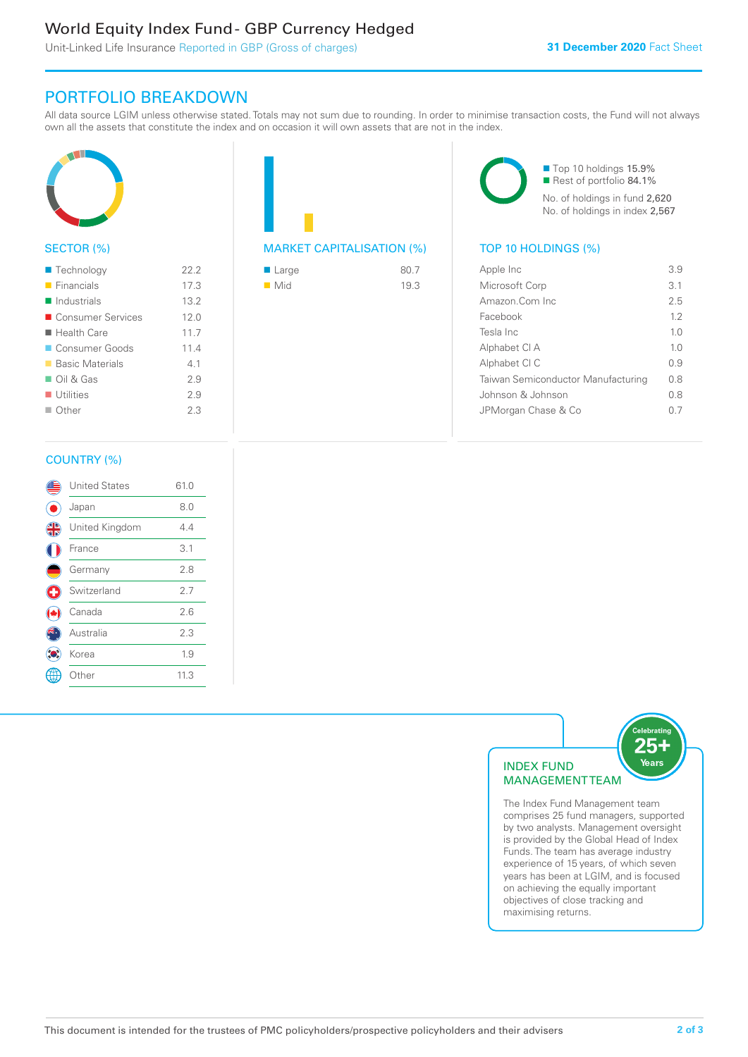### World Equity Index Fund - GBP Currency Hedged

Unit-Linked Life Insurance Reported in GBP (Gross of charges)

### PORTFOLIO BREAKDOWN

All data source LGIM unless otherwise stated. Totals may not sum due to rounding. In order to minimise transaction costs, the Fund will not always own all the assets that constitute the index and on occasion it will own assets that are not in the index.



#### SECTOR (%)

| $\blacksquare$ Technology  | 22.2 |
|----------------------------|------|
| $\blacksquare$ Financials  | 17.3 |
| $\blacksquare$ Industrials | 13.2 |
| ■ Consumer Services        | 12.0 |
| $\blacksquare$ Health Care | 11.7 |
| Consumer Goods             | 11.4 |
| ■ Basic Materials          | 41   |
| $\Box$ Oil & Gas           | 29   |
| $\blacksquare$ Utilities   | 29   |
| $\Box$ Other               | 23   |
|                            |      |



| $\blacksquare$ Large | 80.7 |
|----------------------|------|
| $\blacksquare$ Mid   | 19.3 |

■ Top 10 holdings 15.9% Rest of portfolio 84.1% No. of holdings in fund 2,620 No. of holdings in index 2,567

| Apple Inc                          | 3.9            |
|------------------------------------|----------------|
| Microsoft Corp                     | 3.1            |
| Amazon Com Inc                     | 25             |
| Facebook                           | 1.2            |
| Tesla Inc                          | 1.0            |
| Alphabet CI A                      | 1 <sub>0</sub> |
| Alphabet CI C                      | 0.9            |
| Taiwan Semiconductor Manufacturing | 0 S            |
| Johnson & Johnson                  | 0 S            |
| JPMorgan Chase & Co                |                |
|                                    |                |

#### COUNTRY (%)

|   | <b>United States</b> | 61.0 |  |
|---|----------------------|------|--|
|   | Japan                | 8.0  |  |
| 4 | United Kingdom       | 4.4  |  |
|   | France               | 3.1  |  |
|   | Germany              | 2.8  |  |
| Œ | Switzerland          | 2.7  |  |
|   | Canada               | 2.6  |  |
|   | Australia            | 2.3  |  |
|   | Korea                | 1.9  |  |
|   | Other                | 11.3 |  |
|   |                      |      |  |



comprises 25 fund managers, supported by two analysts. Management oversight is provided by the Global Head of Index Funds. The team has average industry experience of 15 years, of which seven years has been at LGIM, and is focused on achieving the equally important objectives of close tracking and maximising returns.